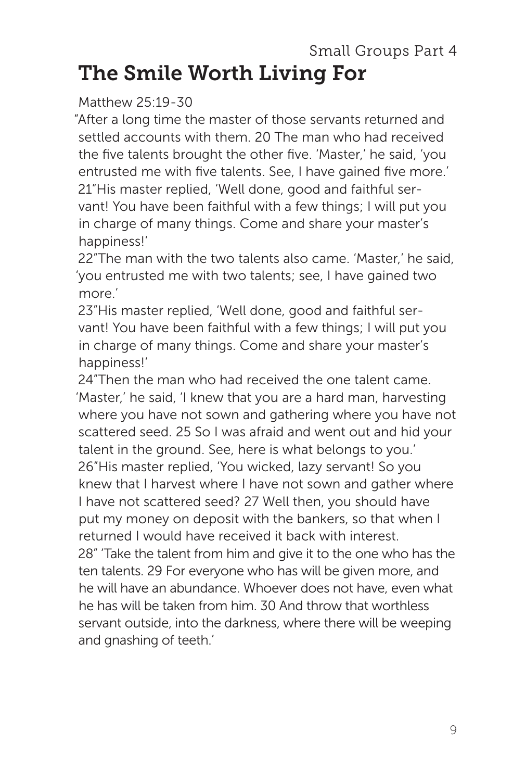# Small Groups Part 4 The Smile Worth Living For

## Matthew 25:19-30

"After a long time the master of those servants returned and settled accounts with them. 20 The man who had received the five talents brought the other five. 'Master,' he said, 'you entrusted me with five talents. See, I have gained five more.' 21"His master replied, 'Well done, good and faithful servant! You have been faithful with a few things; I will put you in charge of many things. Come and share your master's happiness!'

22"The man with the two talents also came. 'Master,' he said, 'you entrusted me with two talents; see, I have gained two more.'

23"His master replied, 'Well done, good and faithful servant! You have been faithful with a few things; I will put you in charge of many things. Come and share your master's happiness!'

24"Then the man who had received the one talent came. 'Master,' he said, 'I knew that you are a hard man, harvesting where you have not sown and gathering where you have not scattered seed. 25 So I was afraid and went out and hid your talent in the ground. See, here is what belongs to you.' 26"His master replied, 'You wicked, lazy servant! So you knew that I harvest where I have not sown and gather where I have not scattered seed? 27 Well then, you should have put my money on deposit with the bankers, so that when I returned I would have received it back with interest. 28" 'Take the talent from him and give it to the one who has the ten talents. 29 For everyone who has will be given more, and he will have an abundance. Whoever does not have, even what he has will be taken from him. 30 And throw that worthless servant outside, into the darkness, where there will be weeping and gnashing of teeth.'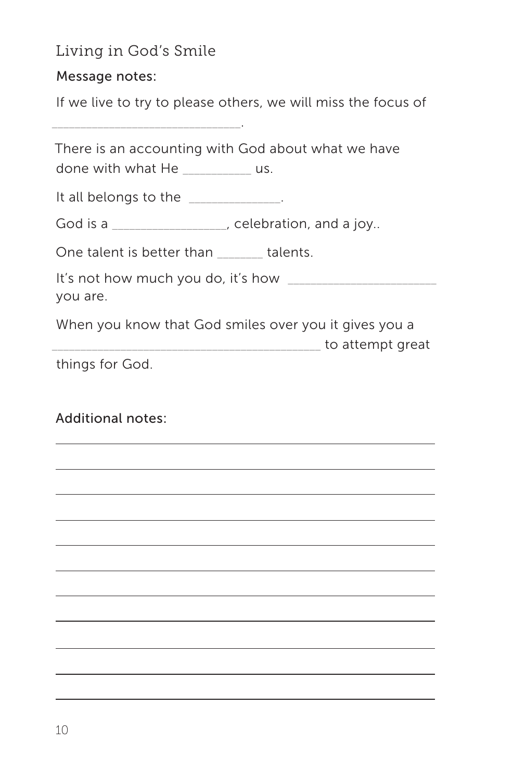## Living in God's Smile

\_\_\_\_\_\_\_\_\_\_\_\_\_\_\_\_\_\_\_\_\_\_\_\_\_\_\_\_\_\_\_\_\_.

Message notes:

If we live to try to please others, we will miss the focus of

| done with what He ___________ us.                                                                 | There is an accounting with God about what we have |
|---------------------------------------------------------------------------------------------------|----------------------------------------------------|
| It all belongs to the _____________.                                                              |                                                    |
| God is a __________________, celebration, and a joy                                               |                                                    |
| One talent is better than talents.                                                                |                                                    |
| you are.                                                                                          |                                                    |
| When you know that God smiles over you it gives you a<br>_______________________ to attempt great |                                                    |
| things for God.                                                                                   |                                                    |
| Additional notes:                                                                                 |                                                    |